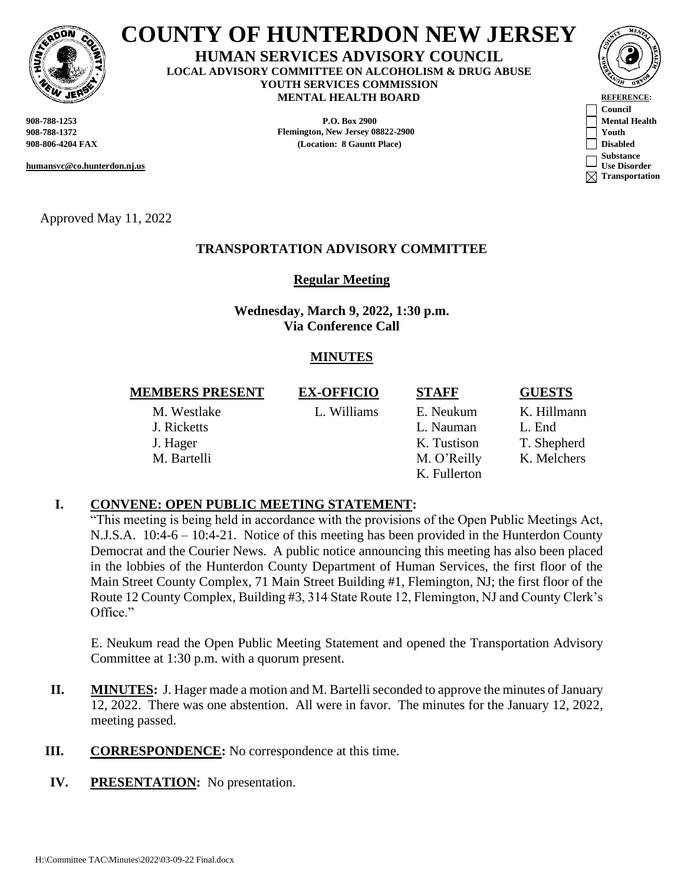

# **COUNTY OF HUNTERDON NEW JERSEY**

**HUMAN SERVICES ADVISORY COUNCIL LOCAL ADVISORY COMMITTEE ON ALCOHOLISM & DRUG ABUSE YOUTH SERVICES COMMISSION MENTAL HEALTH BOARD REFERENCE:** 

**908-788-1253 P.O. Box 2900 Mental Health 908-788-1372 Flemington, New Jersey 08822-2900 Youth 908-806-4204 FAX (Location: 8 Gauntt Place) Disabled**



**humansvc@co.hunterdon.nj.us**

Approved May 11, 2022

### **TRANSPORTATION ADVISORY COMMITTEE**

**Regular Meeting**

**Wednesday, March 9, 2022, 1:30 p.m. Via Conference Call**

# **MINUTES**

#### **MEMBERS PRESENT EX-OFFICIO STAFF GUESTS**

M. Westlake L. Williams E. Neukum K. Hillmann

J. Ricketts L. Nauman L. End J. Hager K. Tustison T. Shepherd M. Bartelli M. O'Reilly K. Melchers K. Fullerton

#### **I. CONVENE: OPEN PUBLIC MEETING STATEMENT:**

"This meeting is being held in accordance with the provisions of the Open Public Meetings Act, N.J.S.A. 10:4-6 – 10:4-21. Notice of this meeting has been provided in the Hunterdon County Democrat and the Courier News. A public notice announcing this meeting has also been placed in the lobbies of the Hunterdon County Department of Human Services, the first floor of the Main Street County Complex, 71 Main Street Building #1, Flemington, NJ; the first floor of the Route 12 County Complex, Building #3, 314 State Route 12, Flemington, NJ and County Clerk's Office."

E. Neukum read the Open Public Meeting Statement and opened the Transportation Advisory Committee at 1:30 p.m. with a quorum present.

- **II. MINUTES:** J. Hager made a motion and M. Bartelli seconded to approve the minutes of January 12, 2022. There was one abstention. All were in favor. The minutes for the January 12, 2022, meeting passed.
- **III. CORRESPONDENCE:** No correspondence at this time.
- **IV. PRESENTATION:** No presentation.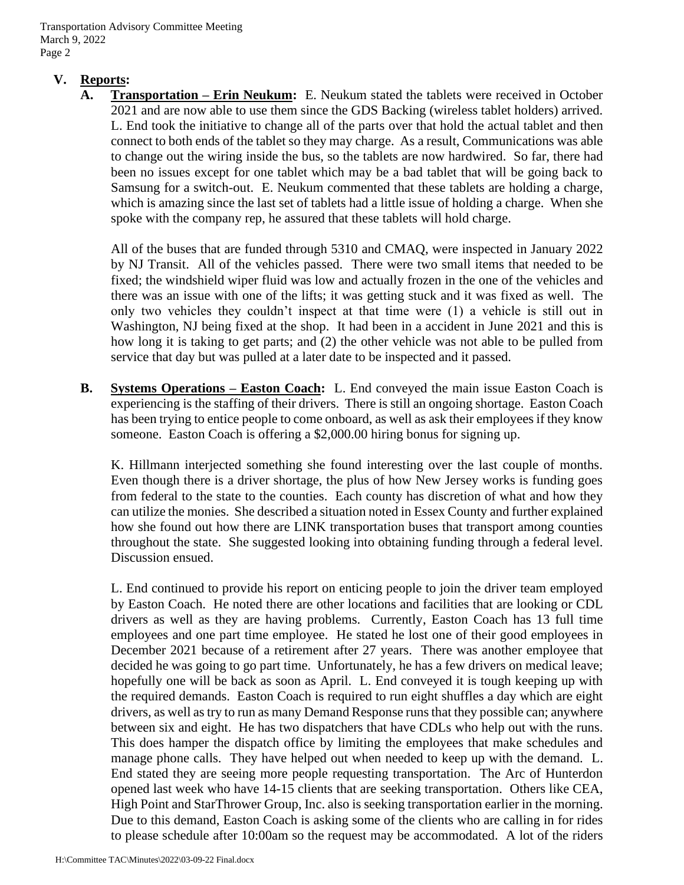### **V. Reports:**

**A. Transportation – Erin Neukum:** E. Neukum stated the tablets were received in October 2021 and are now able to use them since the GDS Backing (wireless tablet holders) arrived. L. End took the initiative to change all of the parts over that hold the actual tablet and then connect to both ends of the tablet so they may charge. As a result, Communications was able to change out the wiring inside the bus, so the tablets are now hardwired. So far, there had been no issues except for one tablet which may be a bad tablet that will be going back to Samsung for a switch-out. E. Neukum commented that these tablets are holding a charge, which is amazing since the last set of tablets had a little issue of holding a charge. When she spoke with the company rep, he assured that these tablets will hold charge.

All of the buses that are funded through 5310 and CMAQ, were inspected in January 2022 by NJ Transit. All of the vehicles passed. There were two small items that needed to be fixed; the windshield wiper fluid was low and actually frozen in the one of the vehicles and there was an issue with one of the lifts; it was getting stuck and it was fixed as well. The only two vehicles they couldn't inspect at that time were (1) a vehicle is still out in Washington, NJ being fixed at the shop. It had been in a accident in June 2021 and this is how long it is taking to get parts; and (2) the other vehicle was not able to be pulled from service that day but was pulled at a later date to be inspected and it passed.

**B. Systems Operations – Easton Coach:** L. End conveyed the main issue Easton Coach is experiencing is the staffing of their drivers. There is still an ongoing shortage. Easton Coach has been trying to entice people to come onboard, as well as ask their employees if they know someone. Easton Coach is offering a \$2,000.00 hiring bonus for signing up.

K. Hillmann interjected something she found interesting over the last couple of months. Even though there is a driver shortage, the plus of how New Jersey works is funding goes from federal to the state to the counties. Each county has discretion of what and how they can utilize the monies. She described a situation noted in Essex County and further explained how she found out how there are LINK transportation buses that transport among counties throughout the state. She suggested looking into obtaining funding through a federal level. Discussion ensued.

L. End continued to provide his report on enticing people to join the driver team employed by Easton Coach. He noted there are other locations and facilities that are looking or CDL drivers as well as they are having problems. Currently, Easton Coach has 13 full time employees and one part time employee. He stated he lost one of their good employees in December 2021 because of a retirement after 27 years. There was another employee that decided he was going to go part time. Unfortunately, he has a few drivers on medical leave; hopefully one will be back as soon as April. L. End conveyed it is tough keeping up with the required demands. Easton Coach is required to run eight shuffles a day which are eight drivers, as well as try to run as many Demand Response runs that they possible can; anywhere between six and eight. He has two dispatchers that have CDLs who help out with the runs. This does hamper the dispatch office by limiting the employees that make schedules and manage phone calls. They have helped out when needed to keep up with the demand. L. End stated they are seeing more people requesting transportation. The Arc of Hunterdon opened last week who have 14-15 clients that are seeking transportation. Others like CEA, High Point and StarThrower Group, Inc. also is seeking transportation earlier in the morning. Due to this demand, Easton Coach is asking some of the clients who are calling in for rides to please schedule after 10:00am so the request may be accommodated. A lot of the riders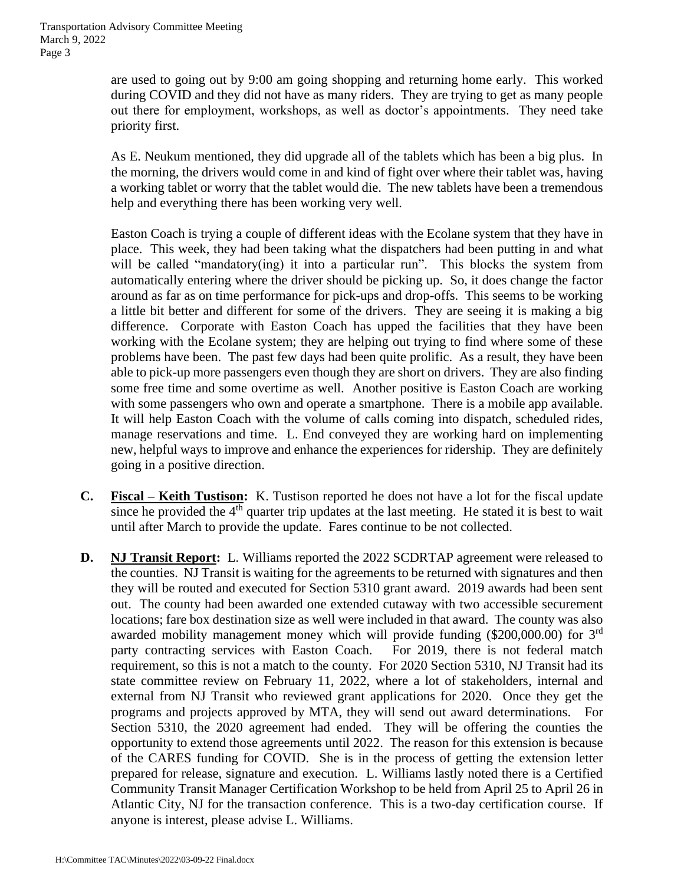are used to going out by 9:00 am going shopping and returning home early. This worked during COVID and they did not have as many riders. They are trying to get as many people out there for employment, workshops, as well as doctor's appointments. They need take priority first.

As E. Neukum mentioned, they did upgrade all of the tablets which has been a big plus. In the morning, the drivers would come in and kind of fight over where their tablet was, having a working tablet or worry that the tablet would die. The new tablets have been a tremendous help and everything there has been working very well.

Easton Coach is trying a couple of different ideas with the Ecolane system that they have in place. This week, they had been taking what the dispatchers had been putting in and what will be called "mandatory(ing) it into a particular run". This blocks the system from automatically entering where the driver should be picking up. So, it does change the factor around as far as on time performance for pick-ups and drop-offs. This seems to be working a little bit better and different for some of the drivers. They are seeing it is making a big difference. Corporate with Easton Coach has upped the facilities that they have been working with the Ecolane system; they are helping out trying to find where some of these problems have been. The past few days had been quite prolific. As a result, they have been able to pick-up more passengers even though they are short on drivers. They are also finding some free time and some overtime as well. Another positive is Easton Coach are working with some passengers who own and operate a smartphone. There is a mobile app available. It will help Easton Coach with the volume of calls coming into dispatch, scheduled rides, manage reservations and time. L. End conveyed they are working hard on implementing new, helpful ways to improve and enhance the experiences for ridership. They are definitely going in a positive direction.

- **C. Fiscal – Keith Tustison:** K. Tustison reported he does not have a lot for the fiscal update since he provided the  $4<sup>th</sup>$  quarter trip updates at the last meeting. He stated it is best to wait until after March to provide the update. Fares continue to be not collected.
- **D. NJ Transit Report:** L. Williams reported the 2022 SCDRTAP agreement were released to the counties. NJ Transit is waiting for the agreements to be returned with signatures and then they will be routed and executed for Section 5310 grant award. 2019 awards had been sent out. The county had been awarded one extended cutaway with two accessible securement locations; fare box destination size as well were included in that award. The county was also awarded mobility management money which will provide funding (\$200,000.00) for 3rd party contracting services with Easton Coach. For 2019, there is not federal match requirement, so this is not a match to the county. For 2020 Section 5310, NJ Transit had its state committee review on February 11, 2022, where a lot of stakeholders, internal and external from NJ Transit who reviewed grant applications for 2020. Once they get the programs and projects approved by MTA, they will send out award determinations. For Section 5310, the 2020 agreement had ended. They will be offering the counties the opportunity to extend those agreements until 2022. The reason for this extension is because of the CARES funding for COVID. She is in the process of getting the extension letter prepared for release, signature and execution. L. Williams lastly noted there is a Certified Community Transit Manager Certification Workshop to be held from April 25 to April 26 in Atlantic City, NJ for the transaction conference. This is a two-day certification course. If anyone is interest, please advise L. Williams.